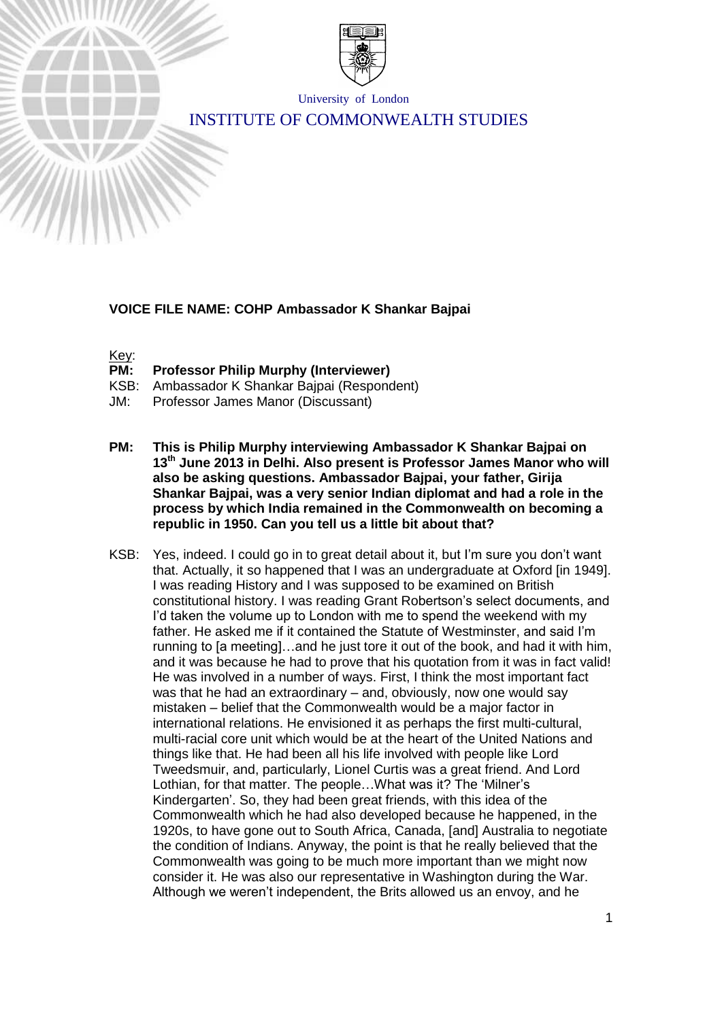

University of London

# INSTITUTE OF COMMONWEALTH STUDIES

# **VOICE FILE NAME: COHP Ambassador K Shankar Bajpai**

Key:

- **PM: Professor Philip Murphy (Interviewer)**
- KSB: Ambassador K Shankar Bajpai (Respondent)
- JM: Professor James Manor (Discussant)
- **PM: This is Philip Murphy interviewing Ambassador K Shankar Bajpai on 13th June 2013 in Delhi. Also present is Professor James Manor who will also be asking questions. Ambassador Bajpai, your father, Girija Shankar Bajpai, was a very senior Indian diplomat and had a role in the process by which India remained in the Commonwealth on becoming a republic in 1950. Can you tell us a little bit about that?**
- KSB: Yes, indeed. I could go in to great detail about it, but I'm sure you don't want that. Actually, it so happened that I was an undergraduate at Oxford [in 1949]. I was reading History and I was supposed to be examined on British constitutional history. I was reading Grant Robertson's select documents, and I'd taken the volume up to London with me to spend the weekend with my father. He asked me if it contained the Statute of Westminster, and said I'm running to [a meeting]…and he just tore it out of the book, and had it with him, and it was because he had to prove that his quotation from it was in fact valid! He was involved in a number of ways. First, I think the most important fact was that he had an extraordinary – and, obviously, now one would say mistaken – belief that the Commonwealth would be a major factor in international relations. He envisioned it as perhaps the first multi-cultural, multi-racial core unit which would be at the heart of the United Nations and things like that. He had been all his life involved with people like Lord Tweedsmuir, and, particularly, Lionel Curtis was a great friend. And Lord Lothian, for that matter. The people…What was it? The 'Milner's Kindergarten'. So, they had been great friends, with this idea of the Commonwealth which he had also developed because he happened, in the 1920s, to have gone out to South Africa, Canada, [and] Australia to negotiate the condition of Indians. Anyway, the point is that he really believed that the Commonwealth was going to be much more important than we might now consider it. He was also our representative in Washington during the War. Although we weren't independent, the Brits allowed us an envoy, and he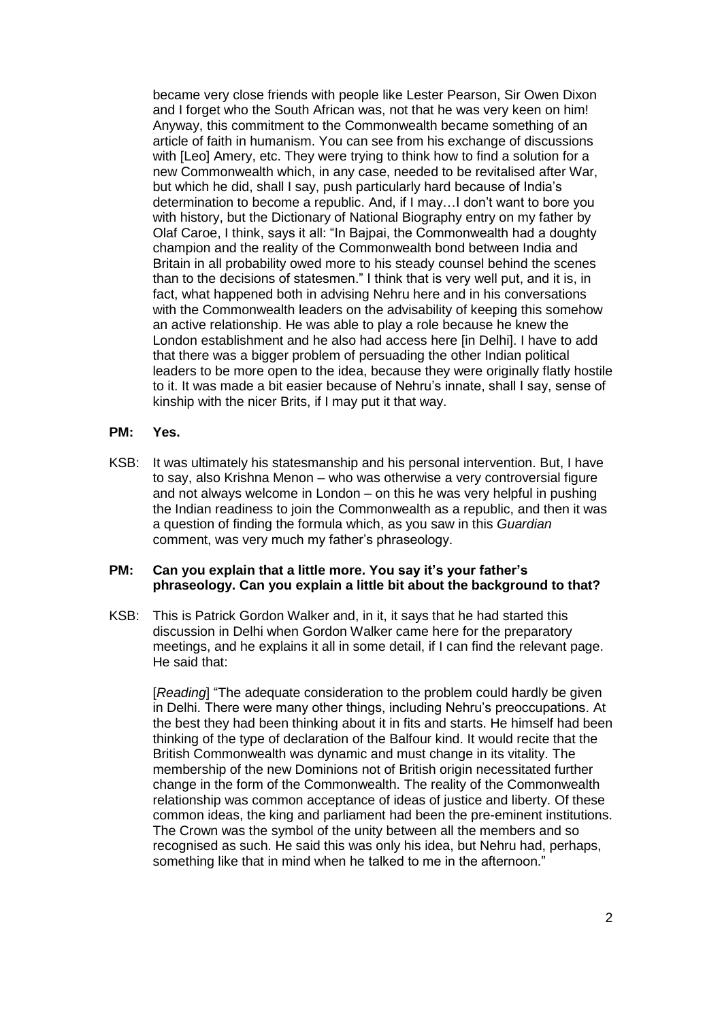became very close friends with people like Lester Pearson, Sir Owen Dixon and I forget who the South African was, not that he was very keen on him! Anyway, this commitment to the Commonwealth became something of an article of faith in humanism. You can see from his exchange of discussions with [Leo] Amery, etc. They were trying to think how to find a solution for a new Commonwealth which, in any case, needed to be revitalised after War, but which he did, shall I say, push particularly hard because of India's determination to become a republic. And, if I may…I don't want to bore you with history, but the Dictionary of National Biography entry on my father by Olaf Caroe, I think, says it all: "In Bajpai, the Commonwealth had a doughty champion and the reality of the Commonwealth bond between India and Britain in all probability owed more to his steady counsel behind the scenes than to the decisions of statesmen." I think that is very well put, and it is, in fact, what happened both in advising Nehru here and in his conversations with the Commonwealth leaders on the advisability of keeping this somehow an active relationship. He was able to play a role because he knew the London establishment and he also had access here [in Delhi]. I have to add that there was a bigger problem of persuading the other Indian political leaders to be more open to the idea, because they were originally flatly hostile to it. It was made a bit easier because of Nehru's innate, shall I say, sense of kinship with the nicer Brits, if I may put it that way.

#### **PM: Yes.**

KSB: It was ultimately his statesmanship and his personal intervention. But, I have to say, also Krishna Menon – who was otherwise a very controversial figure and not always welcome in London – on this he was very helpful in pushing the Indian readiness to join the Commonwealth as a republic, and then it was a question of finding the formula which, as you saw in this *Guardian* comment, was very much my father's phraseology.

#### **PM: Can you explain that a little more. You say it's your father's phraseology. Can you explain a little bit about the background to that?**

KSB: This is Patrick Gordon Walker and, in it, it says that he had started this discussion in Delhi when Gordon Walker came here for the preparatory meetings, and he explains it all in some detail, if I can find the relevant page. He said that:

[*Reading*] "The adequate consideration to the problem could hardly be given in Delhi. There were many other things, including Nehru's preoccupations. At the best they had been thinking about it in fits and starts. He himself had been thinking of the type of declaration of the Balfour kind. It would recite that the British Commonwealth was dynamic and must change in its vitality. The membership of the new Dominions not of British origin necessitated further change in the form of the Commonwealth. The reality of the Commonwealth relationship was common acceptance of ideas of justice and liberty. Of these common ideas, the king and parliament had been the pre-eminent institutions. The Crown was the symbol of the unity between all the members and so recognised as such. He said this was only his idea, but Nehru had, perhaps, something like that in mind when he talked to me in the afternoon."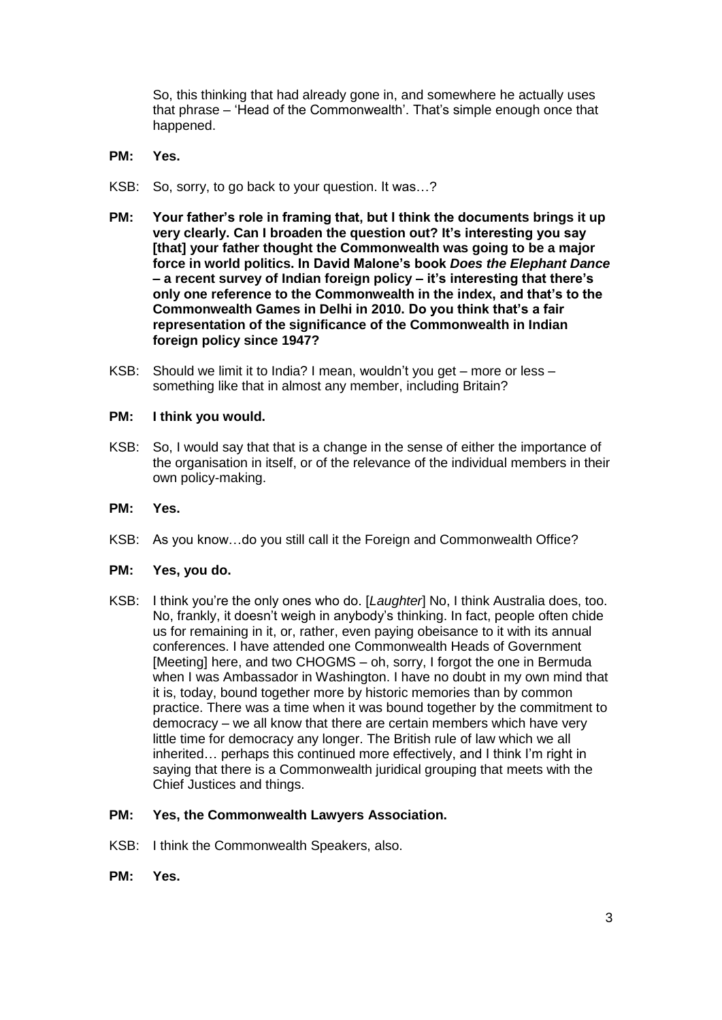So, this thinking that had already gone in, and somewhere he actually uses that phrase – 'Head of the Commonwealth'. That's simple enough once that happened.

- **PM: Yes.**
- KSB: So, sorry, to go back to your question. It was…?
- **PM: Your father's role in framing that, but I think the documents brings it up very clearly. Can I broaden the question out? It's interesting you say [that] your father thought the Commonwealth was going to be a major force in world politics. In David Malone's book** *Does the Elephant Dance* **– a recent survey of Indian foreign policy – it's interesting that there's only one reference to the Commonwealth in the index, and that's to the Commonwealth Games in Delhi in 2010. Do you think that's a fair representation of the significance of the Commonwealth in Indian foreign policy since 1947?**
- KSB: Should we limit it to India? I mean, wouldn't you get more or less something like that in almost any member, including Britain?

# **PM: I think you would.**

- KSB: So, I would say that that is a change in the sense of either the importance of the organisation in itself, or of the relevance of the individual members in their own policy-making.
- **PM: Yes.**
- KSB: As you know…do you still call it the Foreign and Commonwealth Office?

#### **PM: Yes, you do.**

KSB: I think you're the only ones who do. [*Laughter*] No, I think Australia does, too. No, frankly, it doesn't weigh in anybody's thinking. In fact, people often chide us for remaining in it, or, rather, even paying obeisance to it with its annual conferences. I have attended one Commonwealth Heads of Government [Meeting] here, and two CHOGMS – oh, sorry, I forgot the one in Bermuda when I was Ambassador in Washington. I have no doubt in my own mind that it is, today, bound together more by historic memories than by common practice. There was a time when it was bound together by the commitment to democracy – we all know that there are certain members which have very little time for democracy any longer. The British rule of law which we all inherited… perhaps this continued more effectively, and I think I'm right in saying that there is a Commonwealth juridical grouping that meets with the Chief Justices and things.

# **PM: Yes, the Commonwealth Lawyers Association.**

- KSB: I think the Commonwealth Speakers, also.
- **PM: Yes.**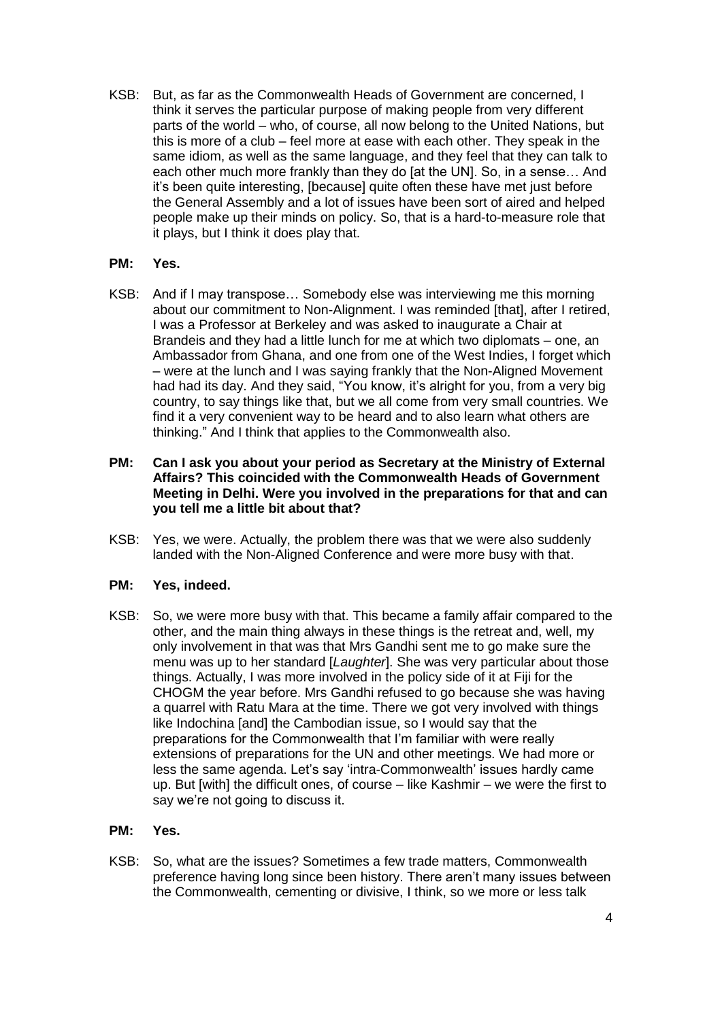KSB: But, as far as the Commonwealth Heads of Government are concerned, I think it serves the particular purpose of making people from very different parts of the world – who, of course, all now belong to the United Nations, but this is more of a club – feel more at ease with each other. They speak in the same idiom, as well as the same language, and they feel that they can talk to each other much more frankly than they do [at the UN]. So, in a sense… And it's been quite interesting, [because] quite often these have met just before the General Assembly and a lot of issues have been sort of aired and helped people make up their minds on policy. So, that is a hard-to-measure role that it plays, but I think it does play that.

# **PM: Yes.**

KSB: And if I may transpose… Somebody else was interviewing me this morning about our commitment to Non-Alignment. I was reminded [that], after I retired, I was a Professor at Berkeley and was asked to inaugurate a Chair at Brandeis and they had a little lunch for me at which two diplomats – one, an Ambassador from Ghana, and one from one of the West Indies, I forget which – were at the lunch and I was saying frankly that the Non-Aligned Movement had had its day. And they said, "You know, it's alright for you, from a very big country, to say things like that, but we all come from very small countries. We find it a very convenient way to be heard and to also learn what others are thinking." And I think that applies to the Commonwealth also.

### **PM: Can I ask you about your period as Secretary at the Ministry of External Affairs? This coincided with the Commonwealth Heads of Government Meeting in Delhi. Were you involved in the preparations for that and can you tell me a little bit about that?**

KSB: Yes, we were. Actually, the problem there was that we were also suddenly landed with the Non-Aligned Conference and were more busy with that.

#### **PM: Yes, indeed.**

KSB: So, we were more busy with that. This became a family affair compared to the other, and the main thing always in these things is the retreat and, well, my only involvement in that was that Mrs Gandhi sent me to go make sure the menu was up to her standard [*Laughter*]. She was very particular about those things. Actually, I was more involved in the policy side of it at Fiji for the CHOGM the year before. Mrs Gandhi refused to go because she was having a quarrel with Ratu Mara at the time. There we got very involved with things like Indochina [and] the Cambodian issue, so I would say that the preparations for the Commonwealth that I'm familiar with were really extensions of preparations for the UN and other meetings. We had more or less the same agenda. Let's say 'intra-Commonwealth' issues hardly came up. But [with] the difficult ones, of course – like Kashmir – we were the first to say we're not going to discuss it.

#### **PM: Yes.**

KSB: So, what are the issues? Sometimes a few trade matters, Commonwealth preference having long since been history. There aren't many issues between the Commonwealth, cementing or divisive, I think, so we more or less talk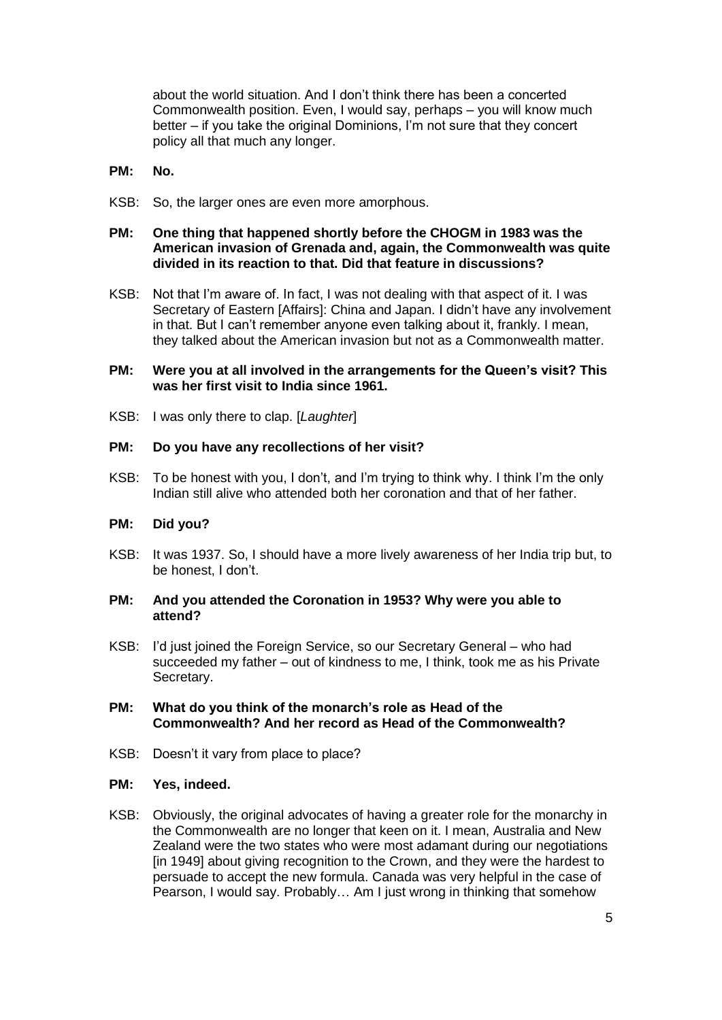about the world situation. And I don't think there has been a concerted Commonwealth position. Even, I would say, perhaps – you will know much better – if you take the original Dominions, I'm not sure that they concert policy all that much any longer.

- **PM: No.**
- KSB: So, the larger ones are even more amorphous.

# **PM: One thing that happened shortly before the CHOGM in 1983 was the American invasion of Grenada and, again, the Commonwealth was quite divided in its reaction to that. Did that feature in discussions?**

KSB: Not that I'm aware of. In fact, I was not dealing with that aspect of it. I was Secretary of Eastern [Affairs]: China and Japan. I didn't have any involvement in that. But I can't remember anyone even talking about it, frankly. I mean, they talked about the American invasion but not as a Commonwealth matter.

# **PM: Were you at all involved in the arrangements for the Queen's visit? This was her first visit to India since 1961.**

KSB: I was only there to clap. [*Laughter*]

# **PM: Do you have any recollections of her visit?**

KSB: To be honest with you, I don't, and I'm trying to think why. I think I'm the only Indian still alive who attended both her coronation and that of her father.

# **PM: Did you?**

KSB: It was 1937. So, I should have a more lively awareness of her India trip but, to be honest, I don't.

#### **PM: And you attended the Coronation in 1953? Why were you able to attend?**

KSB: I'd just joined the Foreign Service, so our Secretary General – who had succeeded my father – out of kindness to me, I think, took me as his Private Secretary.

#### **PM: What do you think of the monarch's role as Head of the Commonwealth? And her record as Head of the Commonwealth?**

KSB: Doesn't it vary from place to place?

#### **PM: Yes, indeed.**

KSB: Obviously, the original advocates of having a greater role for the monarchy in the Commonwealth are no longer that keen on it. I mean, Australia and New Zealand were the two states who were most adamant during our negotiations [in 1949] about giving recognition to the Crown, and they were the hardest to persuade to accept the new formula. Canada was very helpful in the case of Pearson, I would say. Probably… Am I just wrong in thinking that somehow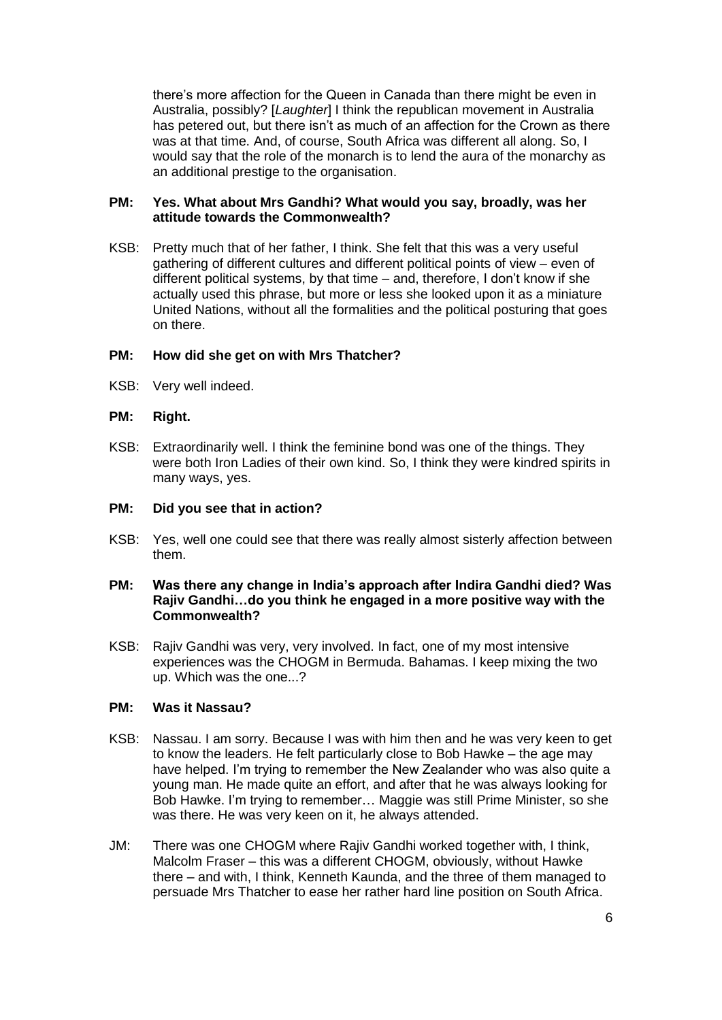there's more affection for the Queen in Canada than there might be even in Australia, possibly? [*Laughter*] I think the republican movement in Australia has petered out, but there isn't as much of an affection for the Crown as there was at that time. And, of course, South Africa was different all along. So, I would say that the role of the monarch is to lend the aura of the monarchy as an additional prestige to the organisation.

# **PM: Yes. What about Mrs Gandhi? What would you say, broadly, was her attitude towards the Commonwealth?**

KSB: Pretty much that of her father, I think. She felt that this was a very useful gathering of different cultures and different political points of view – even of different political systems, by that time – and, therefore, I don't know if she actually used this phrase, but more or less she looked upon it as a miniature United Nations, without all the formalities and the political posturing that goes on there.

# **PM: How did she get on with Mrs Thatcher?**

KSB: Very well indeed.

#### **PM: Right.**

KSB: Extraordinarily well. I think the feminine bond was one of the things. They were both Iron Ladies of their own kind. So, I think they were kindred spirits in many ways, yes.

### **PM: Did you see that in action?**

KSB: Yes, well one could see that there was really almost sisterly affection between them.

# **PM: Was there any change in India's approach after Indira Gandhi died? Was Rajiv Gandhi…do you think he engaged in a more positive way with the Commonwealth?**

KSB: Rajiv Gandhi was very, very involved. In fact, one of my most intensive experiences was the CHOGM in Bermuda. Bahamas. I keep mixing the two up. Which was the one...?

#### **PM: Was it Nassau?**

- KSB: Nassau. I am sorry. Because I was with him then and he was very keen to get to know the leaders. He felt particularly close to Bob Hawke – the age may have helped. I'm trying to remember the New Zealander who was also quite a young man. He made quite an effort, and after that he was always looking for Bob Hawke. I'm trying to remember… Maggie was still Prime Minister, so she was there. He was very keen on it, he always attended.
- JM: There was one CHOGM where Rajiv Gandhi worked together with, I think, Malcolm Fraser – this was a different CHOGM, obviously, without Hawke there – and with, I think, Kenneth Kaunda, and the three of them managed to persuade Mrs Thatcher to ease her rather hard line position on South Africa.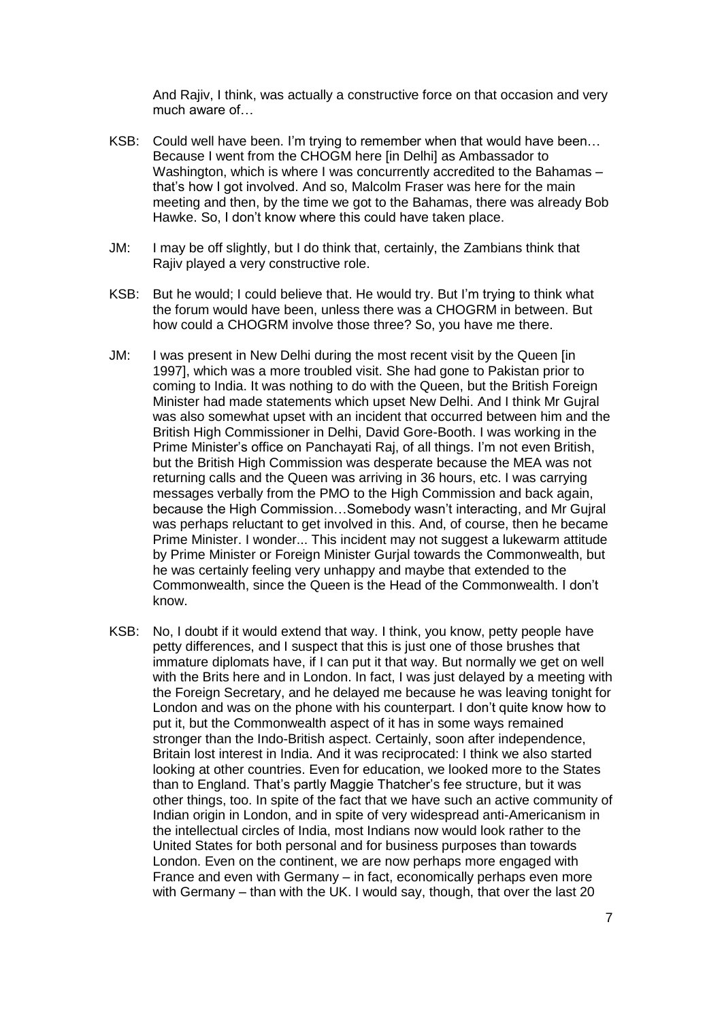And Rajiv, I think, was actually a constructive force on that occasion and very much aware of…

- KSB: Could well have been. I'm trying to remember when that would have been… Because I went from the CHOGM here [in Delhi] as Ambassador to Washington, which is where I was concurrently accredited to the Bahamas – that's how I got involved. And so, Malcolm Fraser was here for the main meeting and then, by the time we got to the Bahamas, there was already Bob Hawke. So, I don't know where this could have taken place.
- JM: I may be off slightly, but I do think that, certainly, the Zambians think that Rajiv played a very constructive role.
- KSB: But he would; I could believe that. He would try. But I'm trying to think what the forum would have been, unless there was a CHOGRM in between. But how could a CHOGRM involve those three? So, you have me there.
- JM: I was present in New Delhi during the most recent visit by the Queen [in 1997], which was a more troubled visit. She had gone to Pakistan prior to coming to India. It was nothing to do with the Queen, but the British Foreign Minister had made statements which upset New Delhi. And I think Mr Gujral was also somewhat upset with an incident that occurred between him and the British High Commissioner in Delhi, David Gore-Booth. I was working in the Prime Minister's office on Panchayati Raj, of all things. I'm not even British, but the British High Commission was desperate because the MEA was not returning calls and the Queen was arriving in 36 hours, etc. I was carrying messages verbally from the PMO to the High Commission and back again, because the High Commission…Somebody wasn't interacting, and Mr Gujral was perhaps reluctant to get involved in this. And, of course, then he became Prime Minister. I wonder... This incident may not suggest a lukewarm attitude by Prime Minister or Foreign Minister Gurjal towards the Commonwealth, but he was certainly feeling very unhappy and maybe that extended to the Commonwealth, since the Queen is the Head of the Commonwealth. I don't know.
- KSB: No, I doubt if it would extend that way. I think, you know, petty people have petty differences, and I suspect that this is just one of those brushes that immature diplomats have, if I can put it that way. But normally we get on well with the Brits here and in London. In fact, I was just delayed by a meeting with the Foreign Secretary, and he delayed me because he was leaving tonight for London and was on the phone with his counterpart. I don't quite know how to put it, but the Commonwealth aspect of it has in some ways remained stronger than the Indo-British aspect. Certainly, soon after independence, Britain lost interest in India. And it was reciprocated: I think we also started looking at other countries. Even for education, we looked more to the States than to England. That's partly Maggie Thatcher's fee structure, but it was other things, too. In spite of the fact that we have such an active community of Indian origin in London, and in spite of very widespread anti-Americanism in the intellectual circles of India, most Indians now would look rather to the United States for both personal and for business purposes than towards London. Even on the continent, we are now perhaps more engaged with France and even with Germany – in fact, economically perhaps even more with Germany – than with the UK. I would say, though, that over the last 20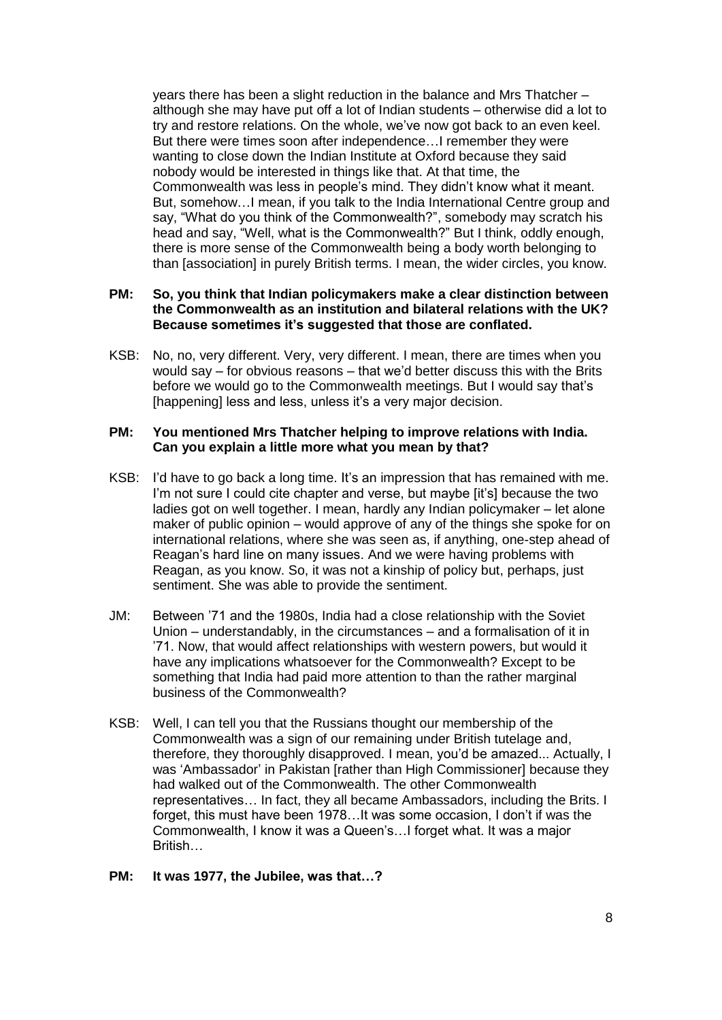years there has been a slight reduction in the balance and Mrs Thatcher – although she may have put off a lot of Indian students – otherwise did a lot to try and restore relations. On the whole, we've now got back to an even keel. But there were times soon after independence…I remember they were wanting to close down the Indian Institute at Oxford because they said nobody would be interested in things like that. At that time, the Commonwealth was less in people's mind. They didn't know what it meant. But, somehow…I mean, if you talk to the India International Centre group and say, "What do you think of the Commonwealth?", somebody may scratch his head and say, "Well, what is the Commonwealth?" But I think, oddly enough, there is more sense of the Commonwealth being a body worth belonging to than [association] in purely British terms. I mean, the wider circles, you know.

### **PM: So, you think that Indian policymakers make a clear distinction between the Commonwealth as an institution and bilateral relations with the UK? Because sometimes it's suggested that those are conflated.**

KSB: No, no, very different. Very, very different. I mean, there are times when you would say – for obvious reasons – that we'd better discuss this with the Brits before we would go to the Commonwealth meetings. But I would say that's [happening] less and less, unless it's a very major decision.

# **PM: You mentioned Mrs Thatcher helping to improve relations with India. Can you explain a little more what you mean by that?**

- KSB: I'd have to go back a long time. It's an impression that has remained with me. I'm not sure I could cite chapter and verse, but maybe [it's] because the two ladies got on well together. I mean, hardly any Indian policymaker – let alone maker of public opinion – would approve of any of the things she spoke for on international relations, where she was seen as, if anything, one-step ahead of Reagan's hard line on many issues. And we were having problems with Reagan, as you know. So, it was not a kinship of policy but, perhaps, just sentiment. She was able to provide the sentiment.
- JM: Between '71 and the 1980s, India had a close relationship with the Soviet Union – understandably, in the circumstances – and a formalisation of it in '71. Now, that would affect relationships with western powers, but would it have any implications whatsoever for the Commonwealth? Except to be something that India had paid more attention to than the rather marginal business of the Commonwealth?
- KSB: Well, I can tell you that the Russians thought our membership of the Commonwealth was a sign of our remaining under British tutelage and, therefore, they thoroughly disapproved. I mean, you'd be amazed... Actually, I was 'Ambassador' in Pakistan [rather than High Commissioner] because they had walked out of the Commonwealth. The other Commonwealth representatives… In fact, they all became Ambassadors, including the Brits. I forget, this must have been 1978…It was some occasion, I don't if was the Commonwealth, I know it was a Queen's…I forget what. It was a major British…

#### **PM: It was 1977, the Jubilee, was that…?**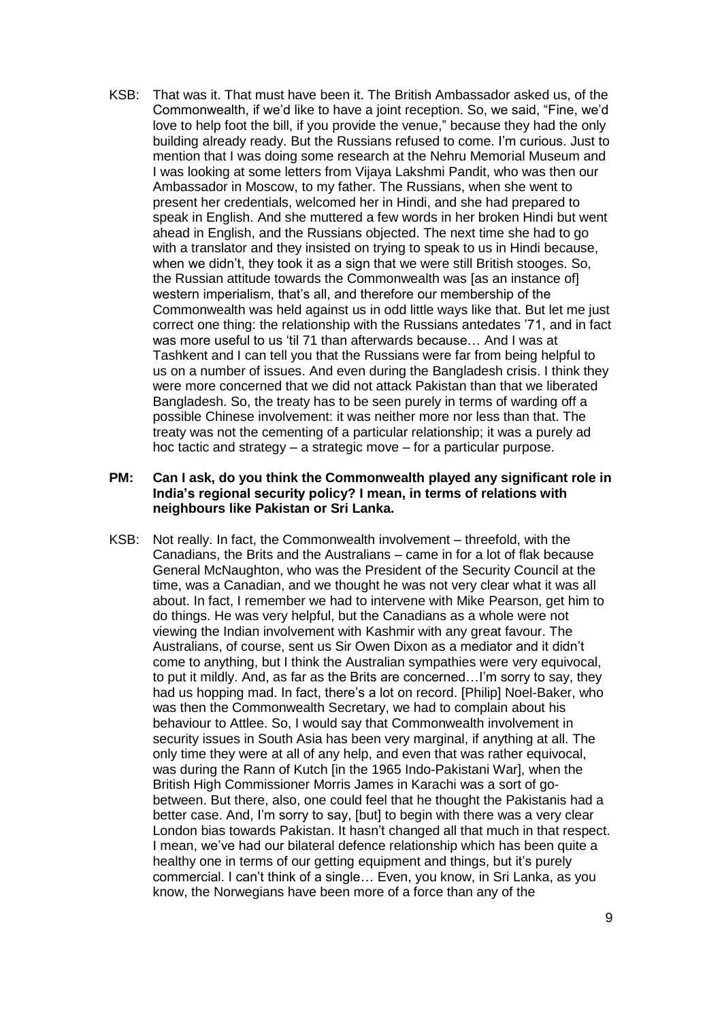KSB: That was it. That must have been it. The British Ambassador asked us, of the Commonwealth, if we'd like to have a joint reception. So, we said, "Fine, we'd love to help foot the bill, if you provide the venue," because they had the only building already ready. But the Russians refused to come. I'm curious. Just to mention that I was doing some research at the Nehru Memorial Museum and I was looking at some letters from Vijaya Lakshmi Pandit, who was then our Ambassador in Moscow, to my father. The Russians, when she went to present her credentials, welcomed her in Hindi, and she had prepared to speak in English. And she muttered a few words in her broken Hindi but went ahead in English, and the Russians objected. The next time she had to go with a translator and they insisted on trying to speak to us in Hindi because, when we didn't, they took it as a sign that we were still British stooges. So, the Russian attitude towards the Commonwealth was [as an instance of] western imperialism, that's all, and therefore our membership of the Commonwealth was held against us in odd little ways like that. But let me just correct one thing: the relationship with the Russians antedates '71, and in fact was more useful to us 'til 71 than afterwards because… And I was at Tashkent and I can tell you that the Russians were far from being helpful to us on a number of issues. And even during the Bangladesh crisis. I think they were more concerned that we did not attack Pakistan than that we liberated Bangladesh. So, the treaty has to be seen purely in terms of warding off a possible Chinese involvement: it was neither more nor less than that. The treaty was not the cementing of a particular relationship; it was a purely ad hoc tactic and strategy – a strategic move – for a particular purpose.

# **PM: Can I ask, do you think the Commonwealth played any significant role in India's regional security policy? I mean, in terms of relations with neighbours like Pakistan or Sri Lanka.**

KSB: Not really. In fact, the Commonwealth involvement – threefold, with the Canadians, the Brits and the Australians – came in for a lot of flak because General McNaughton, who was the President of the Security Council at the time, was a Canadian, and we thought he was not very clear what it was all about. In fact, I remember we had to intervene with Mike Pearson, get him to do things. He was very helpful, but the Canadians as a whole were not viewing the Indian involvement with Kashmir with any great favour. The Australians, of course, sent us Sir Owen Dixon as a mediator and it didn't come to anything, but I think the Australian sympathies were very equivocal, to put it mildly. And, as far as the Brits are concerned…I'm sorry to say, they had us hopping mad. In fact, there's a lot on record. [Philip] Noel-Baker, who was then the Commonwealth Secretary, we had to complain about his behaviour to Attlee. So, I would say that Commonwealth involvement in security issues in South Asia has been very marginal, if anything at all. The only time they were at all of any help, and even that was rather equivocal, was during the Rann of Kutch [in the 1965 Indo-Pakistani War], when the British High Commissioner Morris James in Karachi was a sort of gobetween. But there, also, one could feel that he thought the Pakistanis had a better case. And, I'm sorry to say, [but] to begin with there was a very clear London bias towards Pakistan. It hasn't changed all that much in that respect. I mean, we've had our bilateral defence relationship which has been quite a healthy one in terms of our getting equipment and things, but it's purely commercial. I can't think of a single… Even, you know, in Sri Lanka, as you know, the Norwegians have been more of a force than any of the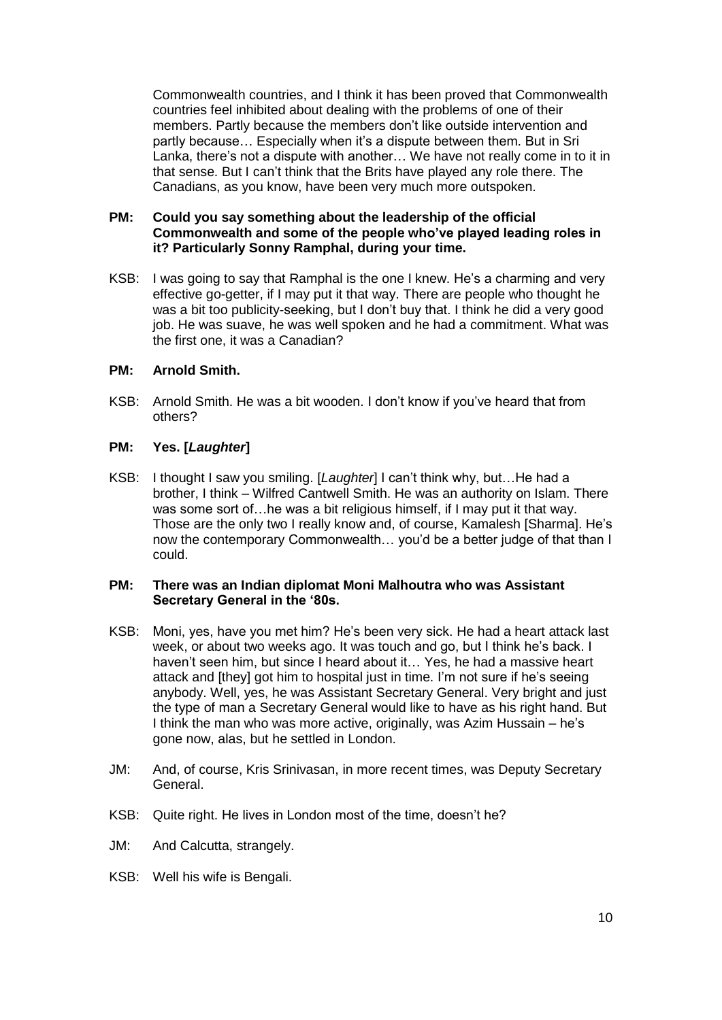Commonwealth countries, and I think it has been proved that Commonwealth countries feel inhibited about dealing with the problems of one of their members. Partly because the members don't like outside intervention and partly because… Especially when it's a dispute between them. But in Sri Lanka, there's not a dispute with another… We have not really come in to it in that sense. But I can't think that the Brits have played any role there. The Canadians, as you know, have been very much more outspoken.

# **PM: Could you say something about the leadership of the official Commonwealth and some of the people who've played leading roles in it? Particularly Sonny Ramphal, during your time.**

KSB: I was going to say that Ramphal is the one I knew. He's a charming and very effective go-getter, if I may put it that way. There are people who thought he was a bit too publicity-seeking, but I don't buy that. I think he did a very good job. He was suave, he was well spoken and he had a commitment. What was the first one, it was a Canadian?

# **PM: Arnold Smith.**

KSB: Arnold Smith. He was a bit wooden. I don't know if you've heard that from others?

# **PM: Yes. [***Laughter***]**

KSB: I thought I saw you smiling. [*Laughter*] I can't think why, but…He had a brother, I think – Wilfred Cantwell Smith. He was an authority on Islam. There was some sort of…he was a bit religious himself, if I may put it that way. Those are the only two I really know and, of course, Kamalesh [Sharma]. He's now the contemporary Commonwealth… you'd be a better judge of that than I could.

#### **PM: There was an Indian diplomat Moni Malhoutra who was Assistant Secretary General in the '80s.**

- KSB: Moni, yes, have you met him? He's been very sick. He had a heart attack last week, or about two weeks ago. It was touch and go, but I think he's back. I haven't seen him, but since I heard about it… Yes, he had a massive heart attack and [they] got him to hospital just in time. I'm not sure if he's seeing anybody. Well, yes, he was Assistant Secretary General. Very bright and just the type of man a Secretary General would like to have as his right hand. But I think the man who was more active, originally, was Azim Hussain – he's gone now, alas, but he settled in London.
- JM: And, of course, Kris Srinivasan, in more recent times, was Deputy Secretary General.
- KSB: Quite right. He lives in London most of the time, doesn't he?
- JM: And Calcutta, strangely.
- KSB: Well his wife is Bengali.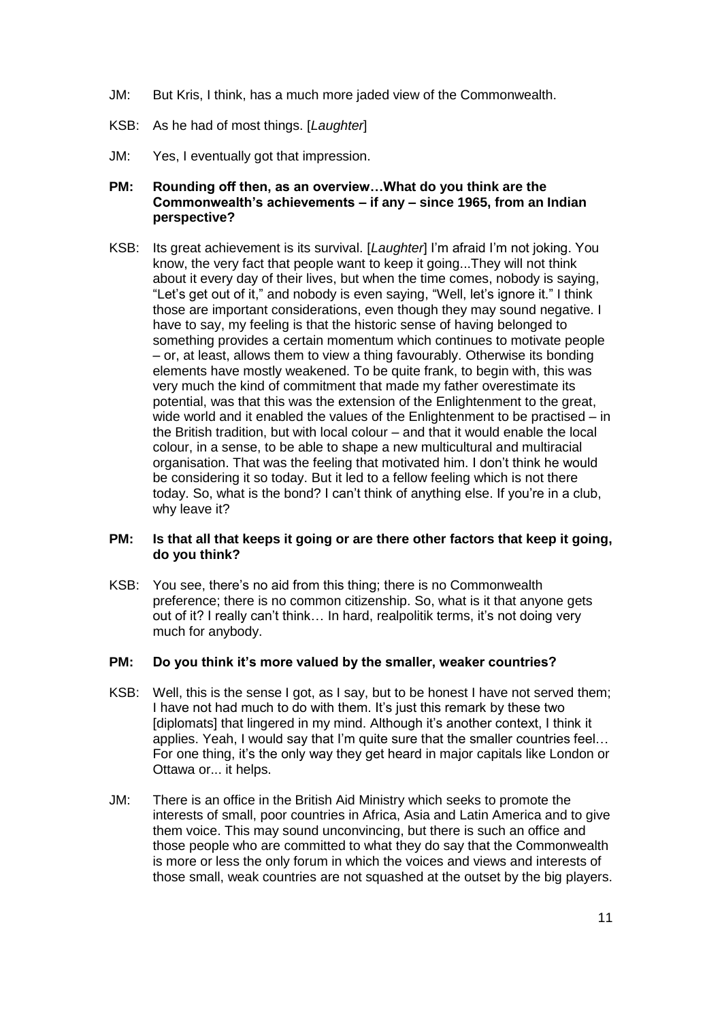- JM: But Kris, I think, has a much more jaded view of the Commonwealth.
- KSB: As he had of most things. [*Laughter*]
- JM: Yes, I eventually got that impression.

# **PM: Rounding off then, as an overview…What do you think are the Commonwealth's achievements – if any – since 1965, from an Indian perspective?**

KSB: Its great achievement is its survival. [*Laughter*] I'm afraid I'm not joking. You know, the very fact that people want to keep it going...They will not think about it every day of their lives, but when the time comes, nobody is saying, "Let's get out of it," and nobody is even saying, "Well, let's ignore it." I think those are important considerations, even though they may sound negative. I have to say, my feeling is that the historic sense of having belonged to something provides a certain momentum which continues to motivate people – or, at least, allows them to view a thing favourably. Otherwise its bonding elements have mostly weakened. To be quite frank, to begin with, this was very much the kind of commitment that made my father overestimate its potential, was that this was the extension of the Enlightenment to the great, wide world and it enabled the values of the Enlightenment to be practised – in the British tradition, but with local colour – and that it would enable the local colour, in a sense, to be able to shape a new multicultural and multiracial organisation. That was the feeling that motivated him. I don't think he would be considering it so today. But it led to a fellow feeling which is not there today. So, what is the bond? I can't think of anything else. If you're in a club, why leave it?

# **PM: Is that all that keeps it going or are there other factors that keep it going, do you think?**

KSB: You see, there's no aid from this thing; there is no Commonwealth preference; there is no common citizenship. So, what is it that anyone gets out of it? I really can't think… In hard, realpolitik terms, it's not doing very much for anybody.

# **PM: Do you think it's more valued by the smaller, weaker countries?**

- KSB: Well, this is the sense I got, as I say, but to be honest I have not served them; I have not had much to do with them. It's just this remark by these two [diplomats] that lingered in my mind. Although it's another context, I think it applies. Yeah, I would say that I'm quite sure that the smaller countries feel… For one thing, it's the only way they get heard in major capitals like London or Ottawa or... it helps.
- JM: There is an office in the British Aid Ministry which seeks to promote the interests of small, poor countries in Africa, Asia and Latin America and to give them voice. This may sound unconvincing, but there is such an office and those people who are committed to what they do say that the Commonwealth is more or less the only forum in which the voices and views and interests of those small, weak countries are not squashed at the outset by the big players.